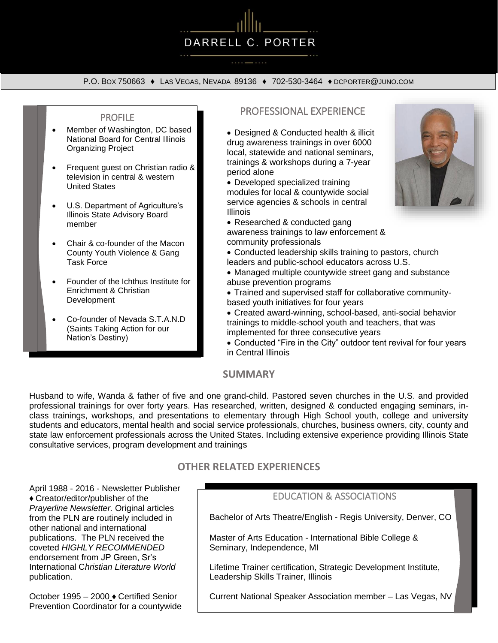

P.O. BOX 750663 ♦ LAS VEGAS, NEVADA 89136 ♦ 702-530-3464 ♦ DCPORTER@JUNO.COM

### PROFILE

- Member of Washington, DC based National Board for Central Illinois Organizing Project
- Frequent guest on Christian radio & television in central & western United States
- U.S. Department of Agriculture's Illinois State Advisory Board member
- Chair & co-founder of the Macon County Youth Violence & Gang Task Force
- Founder of the Ichthus Institute for Enrichment & Christian Development
- Co-founder of Nevada S.T.A.N.D (Saints Taking Action for our Nation's Destiny)

# PROFESSIONAL EXPERIENCE

• Designed & Conducted health & illicit drug awareness trainings in over 6000 local, statewide and national seminars, trainings & workshops during a 7-year period alone

• Developed specialized training modules for local & countywide social service agencies & schools in central **Illinois** 

• Researched & conducted gang awareness trainings to law enforcement & community professionals

• Conducted leadership skills training to pastors, church leaders and public-school educators across U.S.

• Managed multiple countywide street gang and substance abuse prevention programs

• Trained and supervised staff for collaborative communitybased youth initiatives for four years

• Created award-winning, school-based, anti-social behavior trainings to middle-school youth and teachers, that was implemented for three consecutive years

• Conducted "Fire in the City" outdoor tent revival for four years in Central Illinois

### **SUMMARY**

Husband to wife, Wanda & father of five and one grand-child. Pastored seven churches in the U.S. and provided professional trainings for over forty years. Has researched, written, designed & conducted engaging seminars, inclass trainings, workshops, and presentations to elementary through High School youth, college and university students and educators, mental health and social service professionals, churches, business owners, city, county and state law enforcement professionals across the United States. Including extensive experience providing Illinois State consultative services, program development and trainings

### **OTHER RELATED EXPERIENCES**

April 1988 - 2016 - Newsletter Publisher ♦ Creator/editor/publisher of the *Prayerline Newsletter.* Original articles from the PLN are routinely included in other national and international publications. The PLN received the coveted *HIGHLY RECOMMENDED* endorsement from JP Green, Sr's International C*hristian Literature World* publication.

October 1995 – 2000 ♦ Certified Senior Prevention Coordinator for a countywide

# EDUCATION & ASSOCIATIONS

Bachelor of Arts Theatre/English - Regis University, Denver, CO

Master of Arts Education - International Bible College & Seminary, Independence, MI

Lifetime Trainer certification, Strategic Development Institute, Leadership Skills Trainer, Illinois

Current National Speaker Association member – Las Vegas, NV